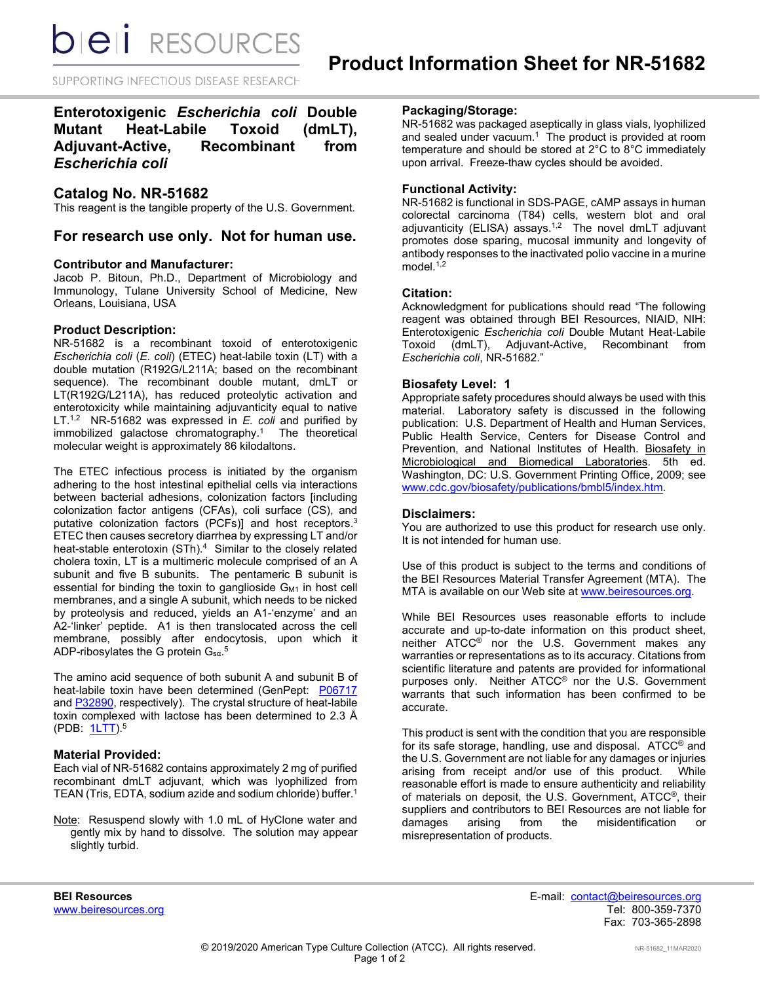**bieli** RESOURCES

SUPPORTING INFECTIOUS DISEASE RESEARCH

# **Enterotoxigenic** *Escherichia coli* **Double Mutant Heat-Labile Toxoid (dmLT), Adjuvant-Active, Recombinant from**  *Escherichia coli*

# **Catalog No. NR-51682**

This reagent is the tangible property of the U.S. Government.

**For research use only. Not for human use.**

#### **Contributor and Manufacturer:**

Jacob P. Bitoun, Ph.D., Department of Microbiology and Immunology, Tulane University School of Medicine, New Orleans, Louisiana, USA

## **Product Description:**

NR-51682 is a recombinant toxoid of enterotoxigenic *Escherichia coli* (*E. coli*) (ETEC) heat-labile toxin (LT) with a double mutation (R192G/L211A; based on the recombinant sequence). The recombinant double mutant, dmLT or LT(R192G/L211A), has reduced proteolytic activation and enterotoxicity while maintaining adjuvanticity equal to native LT.<sup>1,2</sup> NR-51682 was expressed in *E. coli* and purified by immobilized galactose chromatography. <sup>1</sup> The theoretical molecular weight is approximately 86 kilodaltons.

The ETEC infectious process is initiated by the organism adhering to the host intestinal epithelial cells via interactions between bacterial adhesions, colonization factors [including colonization factor antigens (CFAs), coli surface (CS), and putative colonization factors (PCFs)] and host receptors.3 ETEC then causes secretory diarrhea by expressing LT and/or heat-stable enterotoxin (STh).<sup>4</sup> Similar to the closely related cholera toxin, LT is a multimeric molecule comprised of an A subunit and five B subunits. The pentameric B subunit is essential for binding the toxin to ganglioside G<sub>M1</sub> in host cell membranes, and a single A subunit, which needs to be nicked by proteolysis and reduced, yields an A1-'enzyme' and an A2-'linker' peptide. A1 is then translocated across the cell membrane, possibly after endocytosis, upon which it <code>ADP-ribosylates</code> the G protein  $\mathsf{G}_{\text{sa}}$ . $^{5}$ 

The amino acid sequence of both subunit A and subunit B of heat-labile toxin have been determined (GenPept: [P06717](https://www.ncbi.nlm.nih.gov/protein/P06717) and **P32890**, respectively). The crystal structure of heat-labile toxin complexed with lactose has been determined to 2.3 Å (PDB:  $1LT$ ).<sup>5</sup>

# **Material Provided:**

Each vial of NR-51682 contains approximately 2 mg of purified recombinant dmLT adjuvant, which was lyophilized from TEAN (Tris, EDTA, sodium azide and sodium chloride) buffer. 1

Note: Resuspend slowly with 1.0 mL of HyClone water and gently mix by hand to dissolve. The solution may appear slightly turbid.

#### **Packaging/Storage:**

NR-51682 was packaged aseptically in glass vials, lyophilized and sealed under vacuum. 1 The product is provided at room temperature and should be stored at 2°C to 8°C immediately upon arrival. Freeze-thaw cycles should be avoided.

### **Functional Activity:**

NR-51682 is functional in SDS-PAGE, cAMP assays in human colorectal carcinoma (T84) cells, western blot and oral adjuvanticity (ELISA) assays.<sup>1,2</sup> The novel dmLT adjuvant promotes dose sparing, mucosal immunity and longevity of antibody responses to the inactivated polio vaccine in a murine model $1,2$ 

#### **Citation:**

Acknowledgment for publications should read "The following reagent was obtained through BEI Resources, NIAID, NIH: Enterotoxigenic *Escherichia coli* Double Mutant Heat-Labile (dmLT), Adjuvant-Active, Recombinant from *Escherichia coli*, NR-51682."

## **Biosafety Level: 1**

Appropriate safety procedures should always be used with this material. Laboratory safety is discussed in the following publication: U.S. Department of Health and Human Services, Public Health Service, Centers for Disease Control and Prevention, and National Institutes of Health. Biosafety in Microbiological and Biomedical Laboratories. 5th ed. Washington, DC: U.S. Government Printing Office, 2009; see [www.cdc.gov/biosafety/publications/bmbl5/index.htm.](http://www.cdc.gov/biosafety/publications/bmbl5/index.htm)

#### **Disclaimers:**

You are authorized to use this product for research use only. It is not intended for human use.

Use of this product is subject to the terms and conditions of the BEI Resources Material Transfer Agreement (MTA). The MTA is available on our Web site at [www.beiresources.org.](http://www.beiresources.org/)

While BEI Resources uses reasonable efforts to include accurate and up-to-date information on this product sheet, neither ATCC® nor the U.S. Government makes any warranties or representations as to its accuracy. Citations from scientific literature and patents are provided for informational purposes only. Neither ATCC® nor the U.S. Government warrants that such information has been confirmed to be accurate.

This product is sent with the condition that you are responsible for its safe storage, handling, use and disposal. ATCC® and the U.S. Government are not liable for any damages or injuries arising from receipt and/or use of this product. While reasonable effort is made to ensure authenticity and reliability of materials on deposit, the U.S. Government, ATCC®, their suppliers and contributors to BEI Resources are not liable for<br>damages arising from the misidentification or damages arising from the misidentification or misrepresentation of products.

**BEI Resources** E-mail: contact@beiresources.org Fax: 703-365-2898